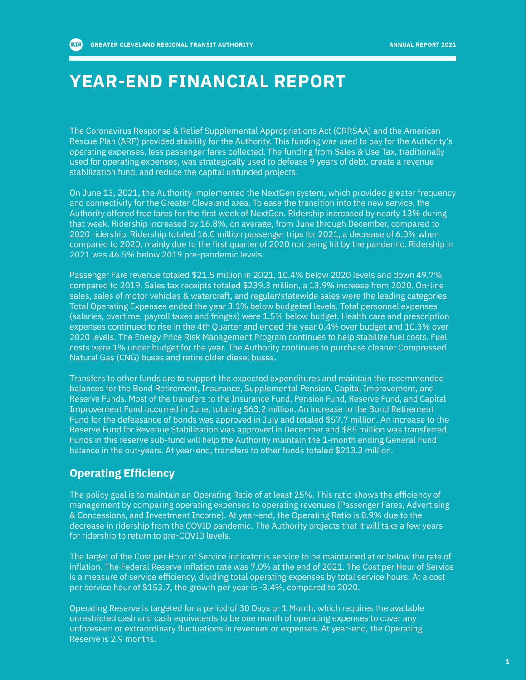**RTA** 

## **YEAR-END FINANCIAL REPORT**

The Coronavirus Response & Relief Supplemental Appropriations Act (CRRSAA) and the American Rescue Plan (ARP) provided stability for the Authority. This funding was used to pay for the Authority's operating expenses, less passenger fares collected. The funding from Sales & Use Tax, traditionally used for operating expenses, was strategically used to defease 9 years of debt, create a revenue stabilization fund, and reduce the capital unfunded projects.

On June 13, 2021, the Authority implemented the NextGen system, which provided greater frequency and connectivity for the Greater Cleveland area. To ease the transition into the new service, the Authority offered free fares for the first week of NextGen. Ridership increased by nearly 13% during that week. Ridership increased by 16.8%, on average, from June through December, compared to 2020 ridership. Ridership totaled 16.0 million passenger trips for 2021, a decrease of 6.0% when compared to 2020, mainly due to the first quarter of 2020 not being hit by the pandemic. Ridership in 2021 was 46.5% below 2019 pre-pandemic levels.

Passenger Fare revenue totaled \$21.5 million in 2021, 10.4% below 2020 levels and down 49.7% compared to 2019. Sales tax receipts totaled \$239.3 million, a 13.9% increase from 2020. On-line sales, sales of motor vehicles & watercraft, and regular/statewide sales were the leading categories. Total Operating Expenses ended the year 3.1% below budgeted levels. Total personnel expenses (salaries, overtime, payroll taxes and fringes) were 1.5% below budget. Health care and prescription expenses continued to rise in the 4th Quarter and ended the year 0.4% over budget and 10.3% over 2020 levels. The Energy Price Risk Management Program continues to help stabilize fuel costs. Fuel costs were 1% under budget for the year. The Authority continues to purchase cleaner Compressed Natural Gas (CNG) buses and retire older diesel buses.

Transfers to other funds are to support the expected expenditures and maintain the recommended balances for the Bond Retirement, Insurance, Supplemental Pension, Capital Improvement, and Reserve Funds. Most of the transfers to the Insurance Fund, Pension Fund, Reserve Fund, and Capital Improvement Fund occurred in June, totaling \$63.2 million. An increase to the Bond Retirement Fund for the defeasance of bonds was approved in July and totaled \$57.7 million. An increase to the Reserve Fund for Revenue Stabilization was approved in December and \$85 million was transferred. Funds in this reserve sub-fund will help the Authority maintain the 1-month ending General Fund balance in the out-years. At year-end, transfers to other funds totaled \$213.3 million.

### **Operating Efficiency**

The policy goal is to maintain an Operating Ratio of at least 25%. This ratio shows the efficiency of management by comparing operating expenses to operating revenues (Passenger Fares, Advertising & Concessions, and Investment Income). At year-end, the Operating Ratio is 8.9% due to the decrease in ridership from the COVID pandemic. The Authority projects that it will take a few years for ridership to return to pre-COVID levels.

The target of the Cost per Hour of Service indicator is service to be maintained at or below the rate of inflation. The Federal Reserve inflation rate was 7.0% at the end of 2021. The Cost per Hour of Service is a measure of service efficiency, dividing total operating expenses by total service hours. At a cost per service hour of \$153.7, the growth per year is -3.4%, compared to 2020.

Operating Reserve is targeted for a period of 30 Days or 1 Month, which requires the available unrestricted cash and cash equivalents to be one month of operating expenses to cover any unforeseen or extraordinary fluctuations in revenues or expenses. At year-end, the Operating Reserve is 2.9 months.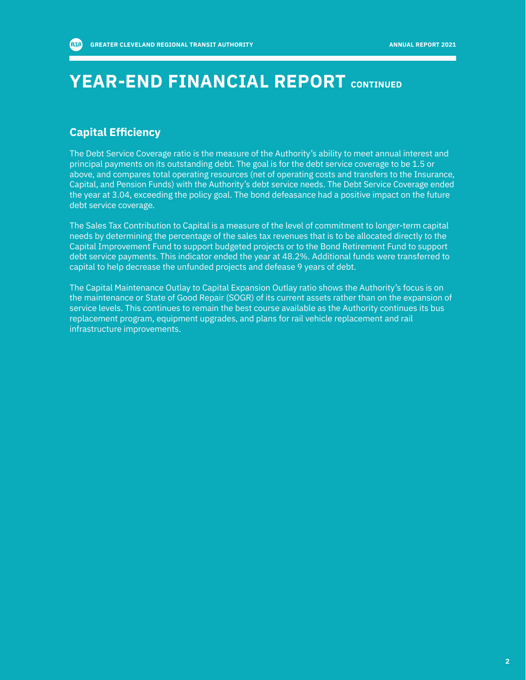## **YEAR-END FINANCIAL REPORT CONTINUED**

#### **Capital Efficiency**

The Debt Service Coverage ratio is the measure of the Authority's ability to meet annual interest and principal payments on its outstanding debt. The goal is for the debt service coverage to be 1.5 or above, and compares total operating resources (net of operating costs and transfers to the Insurance, Capital, and Pension Funds) with the Authority's debt service needs. The Debt Service Coverage ended the year at 3.04, exceeding the policy goal. The bond defeasance had a positive impact on the future debt service coverage.

The Sales Tax Contribution to Capital is a measure of the level of commitment to longer-term capital needs by determining the percentage of the sales tax revenues that is to be allocated directly to the Capital Improvement Fund to support budgeted projects or to the Bond Retirement Fund to support debt service payments. This indicator ended the year at 48.2%. Additional funds were transferred to capital to help decrease the unfunded projects and defease 9 years of debt.

The Capital Maintenance Outlay to Capital Expansion Outlay ratio shows the Authority's focus is on the maintenance or State of Good Repair (SOGR) of its current assets rather than on the expansion of service levels. This continues to remain the best course available as the Authority continues its bus replacement program, equipment upgrades, and plans for rail vehicle replacement and rail infrastructure improvements.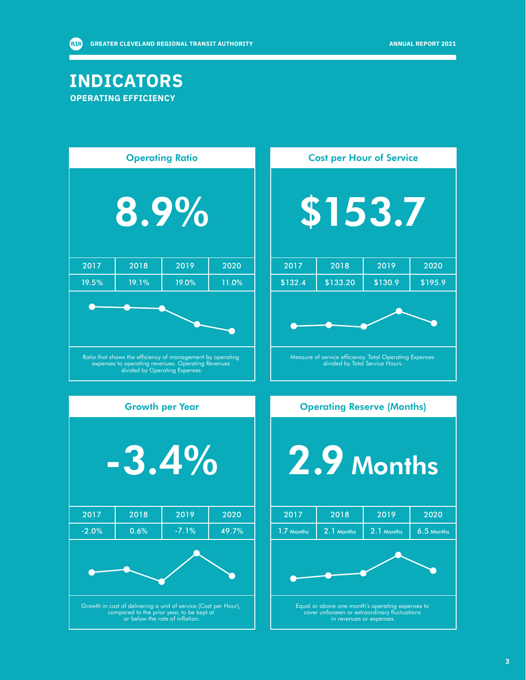### **INDICATORS OPERATING EFFICIENCY**

**AVA** 

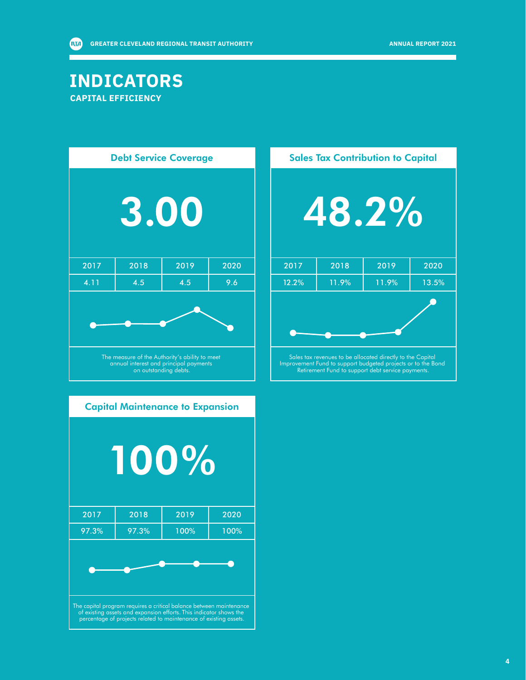### **INDICATORS CAPITAL EFFICIENCY**

**AVA** 

| <b>Debt Service Coverage</b>                                                                                      |      |      |      |  |  |
|-------------------------------------------------------------------------------------------------------------------|------|------|------|--|--|
| <b>3.00</b>                                                                                                       |      |      |      |  |  |
| 2017                                                                                                              | 2018 | 2019 | 2020 |  |  |
| 4.11                                                                                                              | 4.5  | 4.5  | 9.6  |  |  |
|                                                                                                                   |      |      |      |  |  |
| The measure of the Authority's ability to meet<br>annual interest and principal payments<br>on outstanding debts. |      |      |      |  |  |



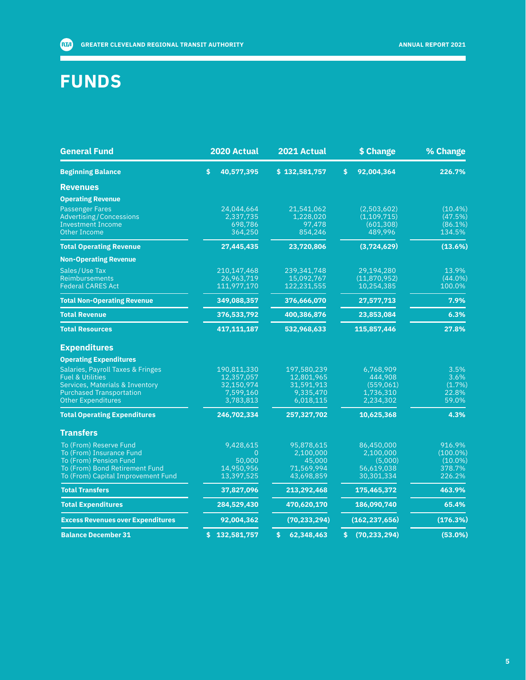## **FUNDS**

| <b>General Fund</b>                      | 2020 Actual      | 2021 Actual      | \$ Change                     | % Change    |
|------------------------------------------|------------------|------------------|-------------------------------|-------------|
| <b>Beginning Balance</b>                 | 40,577,395<br>\$ | \$132,581,757    | $\ddot{\bm{s}}$<br>92,004,364 | 226.7%      |
| <b>Revenues</b>                          |                  |                  |                               |             |
| <b>Operating Revenue</b>                 |                  |                  |                               |             |
| <b>Passenger Fares</b>                   | 24,044,664       | 21,541,062       | (2,503,602)                   | (10.4%)     |
| <b>Advertising/Concessions</b>           | 2,337,735        | 1.228.020        | (1,109,715)                   | (47.5%)     |
| <b>Investment Income</b>                 | 698,786          | 97,478           | (601, 308)                    | $(86.1\%)$  |
| <b>Other Income</b>                      | 364,250          | 854,246          | 489,996                       | 134.5%      |
| <b>Total Operating Revenue</b>           | 27,445,435       | 23,720,806       | (3,724,629)                   | (13.6%)     |
| <b>Non-Operating Revenue</b>             |                  |                  |                               |             |
| Sales/Use Tax                            | 210,147,468      | 239,341,748      | 29,194,280                    | 13.9%       |
| <b>Reimbursements</b>                    | 26,963,719       | 15,092,767       | (11,870,952)                  | $(44.0\%)$  |
| <b>Federal CARES Act</b>                 | 111,977,170      | 122,231,555      | 10,254,385                    | 100.0%      |
| <b>Total Non-Operating Revenue</b>       | 349,088,357      | 376,666,070      | 27,577,713                    | 7.9%        |
| <b>Total Revenue</b>                     | 376,533,792      | 400,386,876      | 23,853,084                    | 6.3%        |
| <b>Total Resources</b>                   | 417,111,187      | 532,968,633      | 115,857,446                   | 27.8%       |
| <b>Expenditures</b>                      |                  |                  |                               |             |
| <b>Operating Expenditures</b>            |                  |                  |                               |             |
| Salaries, Payroll Taxes & Fringes        | 190.811.330      | 197.580.239      | 6,768,909                     | 3.5%        |
| <b>Fuel &amp; Utilities</b>              | 12,357,057       | 12,801,965       | 444,908                       | 3.6%        |
| Services, Materials & Inventory          | 32,150,974       | 31,591,913       | (559,061)                     | (1.7%       |
| <b>Purchased Transportation</b>          | 7,599,160        | 9,335,470        | 1,736,310                     | 22.8%       |
| <b>Other Expenditures</b>                | 3,783,813        | 6,018,115        | 2,234,302                     | 59.0%       |
| <b>Total Operating Expenditures</b>      | 246,702,334      | 257,327,702      | 10,625,368                    | 4.3%        |
| <b>Transfers</b>                         |                  |                  |                               |             |
| To (From) Reserve Fund                   | 9,428,615        | 95,878,615       | 86,450,000                    | 916.9%      |
| To (From) Insurance Fund                 | 0                | 2,100,000        | 2,100,000                     | $(100.0\%)$ |
| To (From) Pension Fund                   | 50.000           | 45,000           | (5,000)                       | $(10.0\%)$  |
| To (From) Bond Retirement Fund           | 14,950,956       | 71,569,994       | 56,619,038                    | 378.7%      |
| To (From) Capital Improvement Fund       | 13,397,525       | 43,698,859       | 30,301,334                    | 226.2%      |
| <b>Total Transfers</b>                   | 37,827,096       | 213,292,468      | 175,465,372                   | 463.9%      |
| <b>Total Expenditures</b>                | 284,529,430      | 470,620,170      | 186,090,740                   | 65.4%       |
| <b>Excess Revenues over Expenditures</b> | 92,004,362       | (70, 233, 294)   | (162, 237, 656)               | (176.3%)    |
| <b>Balance December 31</b>               | \$132,581,757    | 62,348,463<br>\$ | (70, 233, 294)<br>\$.         | (53.0%)     |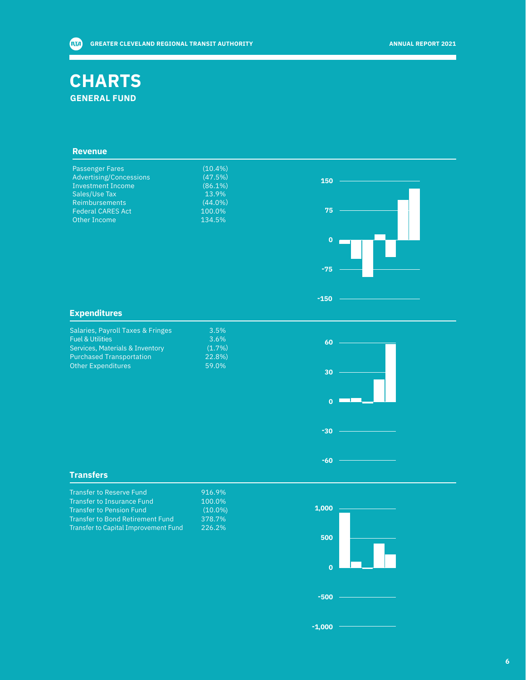### **CHARTS GENERAL FUND**

#### **Revenue**

| Passenger Fares                | $(10.4\%)$ |     |  |
|--------------------------------|------------|-----|--|
| <b>Advertising/Concessions</b> | (47.5%)    | 150 |  |
| <b>Investment Income</b>       | $(86.1\%)$ |     |  |
| Sales/Use Tax                  | 13.9%      |     |  |
| <b>Reimbursements</b>          | $(44.0\%)$ |     |  |
| <b>Federal CARES Act</b>       | 100.0%     | 75  |  |
| Other Income                   | 134.5%     |     |  |
|                                |            |     |  |
|                                |            | 0   |  |

) )

)

#### **Expenditures**

| Salaries, Payroll Taxes & Fringes | 3.5%  |
|-----------------------------------|-------|
| <b>Fuel &amp; Utilities</b>       | 3.6%  |
| Services, Materials & Inventory   | (1.7% |
| <b>Purchased Transportation</b>   | 22.8% |
| <b>Other Expenditures</b>         | 59.0% |
|                                   |       |

# **60 30 0** т **-30**

**-60**

**-150**

**-75**

#### **Transfers**

| Transfer to Reserve Fund                    | 916.9% |
|---------------------------------------------|--------|
| <b>Transfer to Insurance Fund</b>           | 100.0% |
| <b>Transfer to Pension Fund</b>             | (10.0% |
| Transfer to Bond Retirement Fund            | 378.7% |
| <b>Transfer to Capital Improvement Fund</b> | 226.2% |

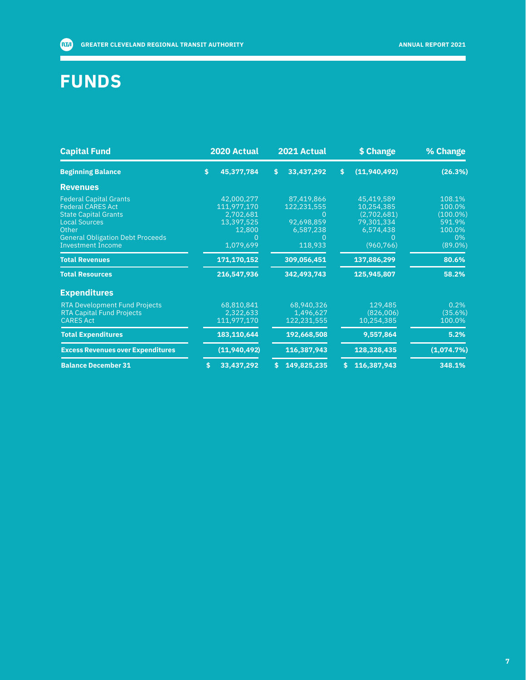## **FUNDS**

| <b>Capital Fund</b>                                                                                                                                                                              |     | 2020 Actual                                                                 | 2021 Actual                                                                 | \$ Change                                                                        | % Change                                                                |
|--------------------------------------------------------------------------------------------------------------------------------------------------------------------------------------------------|-----|-----------------------------------------------------------------------------|-----------------------------------------------------------------------------|----------------------------------------------------------------------------------|-------------------------------------------------------------------------|
| <b>Beginning Balance</b>                                                                                                                                                                         | \$. | 45,377,784                                                                  | \$<br>33,437,292                                                            | \$<br>(11, 940, 492)                                                             | (26.3%)                                                                 |
| <b>Revenues</b>                                                                                                                                                                                  |     |                                                                             |                                                                             |                                                                                  |                                                                         |
| <b>Federal Capital Grants</b><br><b>Federal CARES Act</b><br><b>State Capital Grants</b><br><b>Local Sources</b><br>Other<br><b>General Obligation Debt Proceeds</b><br><b>Investment Income</b> |     | 42,000,277<br>111,977,170<br>2,702,681<br>13,397,525<br>12,800<br>1,079,699 | 87,419,866<br>122,231,555<br>$\Omega$<br>92,698,859<br>6,587,238<br>118,933 | 45,419,589<br>10,254,385<br>(2,702,681)<br>79,301,334<br>6,574,438<br>(960, 766) | 108.1%<br>100.0%<br>$(100.0\%)$<br>591.9%<br>100.0%<br>0%<br>$(89.0\%)$ |
| <b>Total Revenues</b>                                                                                                                                                                            |     | 171,170,152                                                                 | 309,056,451                                                                 | 137,886,299                                                                      | 80.6%                                                                   |
| <b>Total Resources</b>                                                                                                                                                                           |     | 216,547,936                                                                 | 342,493,743                                                                 | 125,945,807                                                                      | 58.2%                                                                   |
| <b>Expenditures</b>                                                                                                                                                                              |     |                                                                             |                                                                             |                                                                                  |                                                                         |
| <b>RTA Development Fund Projects</b><br><b>RTA Capital Fund Projects</b><br><b>CARES Act</b>                                                                                                     |     | 68,810,841<br>2,322,633<br>111,977,170                                      | 68,940,326<br>1,496,627<br>122,231,555                                      | 129,485<br>(826,006)<br>10,254,385                                               | 0.2%<br>(35.6%)<br>100.0%                                               |
| <b>Total Expenditures</b>                                                                                                                                                                        |     | 183,110,644                                                                 | 192,668,508                                                                 | 9,557,864                                                                        | 5.2%                                                                    |
| <b>Excess Revenues over Expenditures</b>                                                                                                                                                         |     | (11,940,492)                                                                | 116,387,943                                                                 | 128,328,435                                                                      | (1,074.7%)                                                              |
| <b>Balance December 31</b>                                                                                                                                                                       | S   | 33,437,292                                                                  | 149,825,235                                                                 | 116,387,943                                                                      | 348.1%                                                                  |